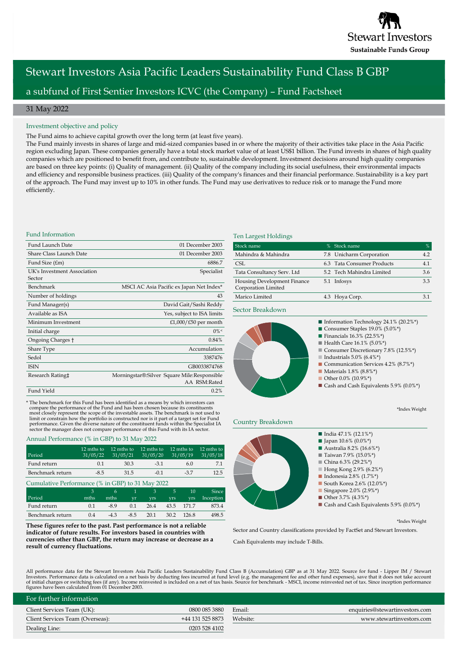

# Stewart Investors Asia Pacific Leaders Sustainability Fund Class B GBP a subfund of First Sentier Investors ICVC (the Company) – Fund Factsheet

# 31 May 2022

### Investment objective and policy

The Fund aims to achieve capital growth over the long term (at least five years).

The Fund mainly invests in shares of large and mid-sized companies based in or where the majority of their activities take place in the Asia Pacific region excluding Japan. These companies generally have a total stock market value of at least US\$1 billion. The Fund invests in shares of high quality companies which are positioned to benefit from, and contribute to, sustainable development. Investment decisions around high quality companies are based on three key points: (i) Quality of management. (ii) Quality of the company including its social usefulness, their environmental impacts and efficiency and responsible business practices. (iii) Quality of the company's finances and their financial performance. Sustainability is a key part of the approach. The Fund may invest up to 10% in other funds. The Fund may use derivatives to reduce risk or to manage the Fund more efficiently.

### Fund Information

| Fund Launch Date                      | 01 December 2003                                            |
|---------------------------------------|-------------------------------------------------------------|
| Share Class Launch Date               | 01 December 2003                                            |
| Fund Size (£m)                        | 6886.7                                                      |
| UK's Investment Association<br>Sector | Specialist                                                  |
| Benchmark                             | MSCI AC Asia Pacific ex Japan Net Index*                    |
| Number of holdings                    | 43                                                          |
| Fund Manager(s)                       | David Gait/Sashi Reddy                                      |
| Available as ISA                      | Yes, subject to ISA limits                                  |
| Minimum Investment                    | £1,000/£50 per month                                        |
| Initial charge                        | $0\%$                                                       |
| Ongoing Charges †                     | 0.84%                                                       |
| Share Type                            | Accumulation                                                |
| Sedol                                 | 3387476                                                     |
| <b>ISIN</b>                           | GB0033874768                                                |
| Research Rating‡                      | Morningstar®:Silver Square Mile:Responsible<br>AA RSM:Rated |
| Fund Yield                            | 0.2%                                                        |

\* The benchmark for this Fund has been identified as a means by which investors can compare the performance of the Fund and has been chosen because its constituents most closely represent the scope of the investable assets. The benchmark is not used to limit or constrain how the portfolio is constructed nor is it part of a target set for Fund<br>performance. Given the diverse nature of the constituent funds within the Specialist IA<br>sector the manager does not compare perfor

### Annual Performance (% in GBP) to 31 May 2022

| Period           | 12 mths to<br>31/05/22 | 12 mths to<br>31/05/21 | 12 mths to<br>31/05/20 | 12 mths to<br>31/05/19 | 12 mths to<br>31/05/18 |
|------------------|------------------------|------------------------|------------------------|------------------------|------------------------|
| Fund return      | 0.1                    | 30.3                   | $-3.1$                 | 6.0                    | 71                     |
| Benchmark return | $-8.5$                 | 31.5                   | $-0.1$                 | $-37$                  | 12.5                   |

| Cumulative Performance (% in GBP) to 31 May 2022 |      |        |        |               |            |            |              |
|--------------------------------------------------|------|--------|--------|---------------|------------|------------|--------------|
|                                                  |      | 6.     | 47     | $\mathcal{R}$ | .5.        | 10         | <b>Since</b> |
| Period                                           | mths | mths   | vr     | <b>vrs</b>    | <b>VIS</b> | <b>vrs</b> | Inception    |
| Fund return                                      | 0.1  | $-8.9$ | 0.1    | 26.4          |            | 43.5 171.7 | 873.4        |
| Benchmark return                                 | 0.4  | $-4.3$ | $-8.5$ | 20.1          | 30.2       | - 126.8    | 498.5        |

**These figures refer to the past. Past performance is not a reliable indicator of future results. For investors based in countries with currencies other than GBP, the return may increase or decrease as a result of currency fluctuations.** 

### Ten Largest Holdings

| Stock name                                         | % Stock name               | %   |
|----------------------------------------------------|----------------------------|-----|
| Mahindra & Mahindra                                | 7.8 Unicharm Corporation   | 4.2 |
| CSL.                                               | 6.3 Tata Consumer Products | 4.1 |
| Tata Consultancy Serv. Ltd                         | 5.2 Tech Mahindra Limited  | 3.6 |
| Housing Development Finance<br>Corporation Limited | 5.1 Infosys                | 3.3 |
| Marico Limited                                     | 4.3 Hoya Corp.             | 3 1 |

Sector Breakdown



\*Index Weight

# Country Breakdown



\*Index Weight

Sector and Country classifications provided by FactSet and Stewart Investors.

Cash Equivalents may include T-Bills.

All performance data for the Stewart Investors Asia Pacific Leaders Sustainability Fund Class B (Accumulation) GBP as at 31 May 2022. Source for fund - Lipper IM / Stewart<br>Investors. Performance data is calculated on a net figures have been calculated from 01 December 2003.

| For further information          |                  |          |                                |
|----------------------------------|------------------|----------|--------------------------------|
| Client Services Team (UK):       | 0800 085 3880    | Email:   | enquiries@stewartinvestors.com |
| Client Services Team (Overseas): | +44 131 525 8873 | Website: | www.stewartinvestors.com       |
| Dealing Line:                    | 0203 528 4102    |          |                                |